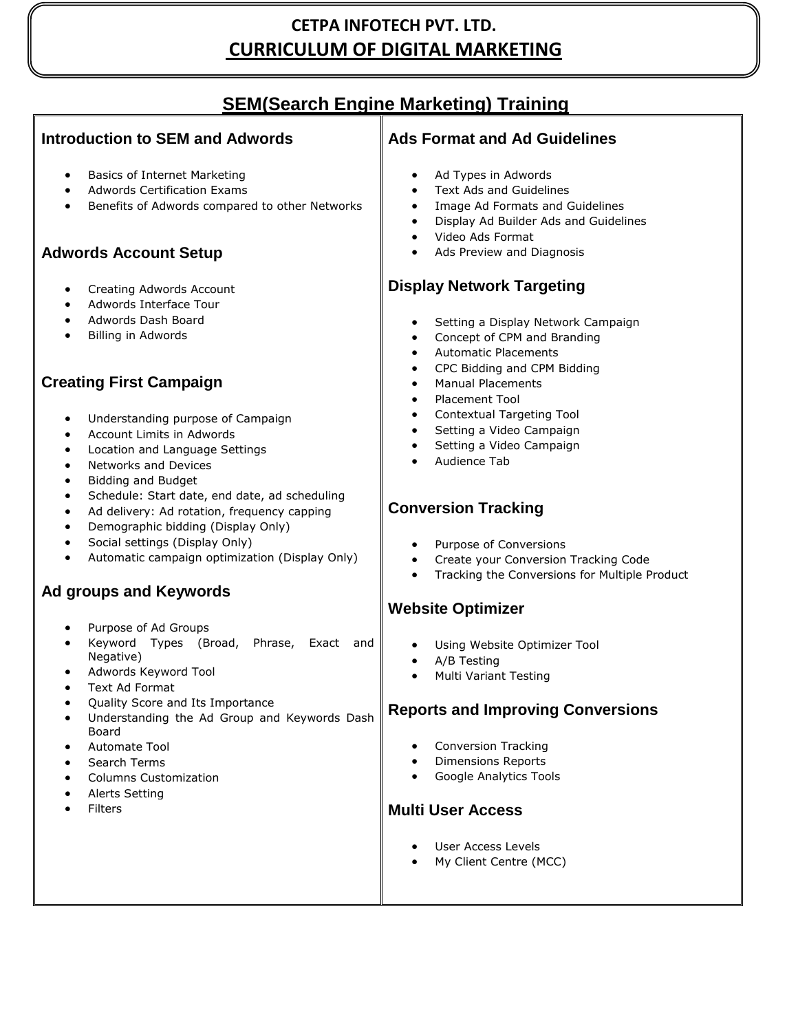## **CETPA INFOTECH PVT. LTD. CURRICULUM OF DIGITAL MARKETING**

## **SEM(Search Engine Marketing) Training**

#### **Introduction to SEM and Adwords**

- Basics of Internet Marketing
- Adwords Certification Exams
- Benefits of Adwords compared to other Networks

#### **Adwords Account Setup**

- Creating Adwords Account
- Adwords Interface Tour
- Adwords Dash Board
- Billing in Adwords

### **Creating First Campaign**

- Understanding purpose of Campaign
- Account Limits in Adwords
- Location and Language Settings
- Networks and Devices
- Bidding and Budget
- Schedule: Start date, end date, ad scheduling
- Ad delivery: Ad rotation, frequency capping
- Demographic bidding (Display Only)
- Social settings (Display Only)
- Automatic campaign optimization (Display Only)

### **Ad groups and Keywords**

- Purpose of Ad Groups
- Keyword Types (Broad, Phrase, Exact and Negative)
- Adwords Keyword Tool
- Text Ad Format
- Quality Score and Its Importance
- Understanding the Ad Group and Keywords Dash Board
- Automate Tool
- Search Terms
- Columns Customization
- Alerts Setting
- Filters

#### **Ads Format and Ad Guidelines**

- Ad Types in Adwords
- Text Ads and Guidelines
- Image Ad Formats and Guidelines
- Display Ad Builder Ads and Guidelines
- Video Ads Format
- Ads Preview and Diagnosis

#### **Display Network Targeting**

- Setting a Display Network Campaign
- Concept of CPM and Branding
- Automatic Placements
- CPC Bidding and CPM Bidding
- Manual Placements
- Placement Tool
- Contextual Targeting Tool
- Setting a Video Campaign
- Setting a Video Campaign
- Audience Tab

#### **Conversion Tracking**

- Purpose of Conversions
- Create your Conversion Tracking Code
- Tracking the Conversions for Multiple Product

#### **Website Optimizer**

- Using Website Optimizer Tool
- A/B Testing
- Multi Variant Testing

#### **Reports and Improving Conversions**

- Conversion Tracking
- Dimensions Reports
- Google Analytics Tools

#### **Multi User Access**

- User Access Levels
- My Client Centre (MCC)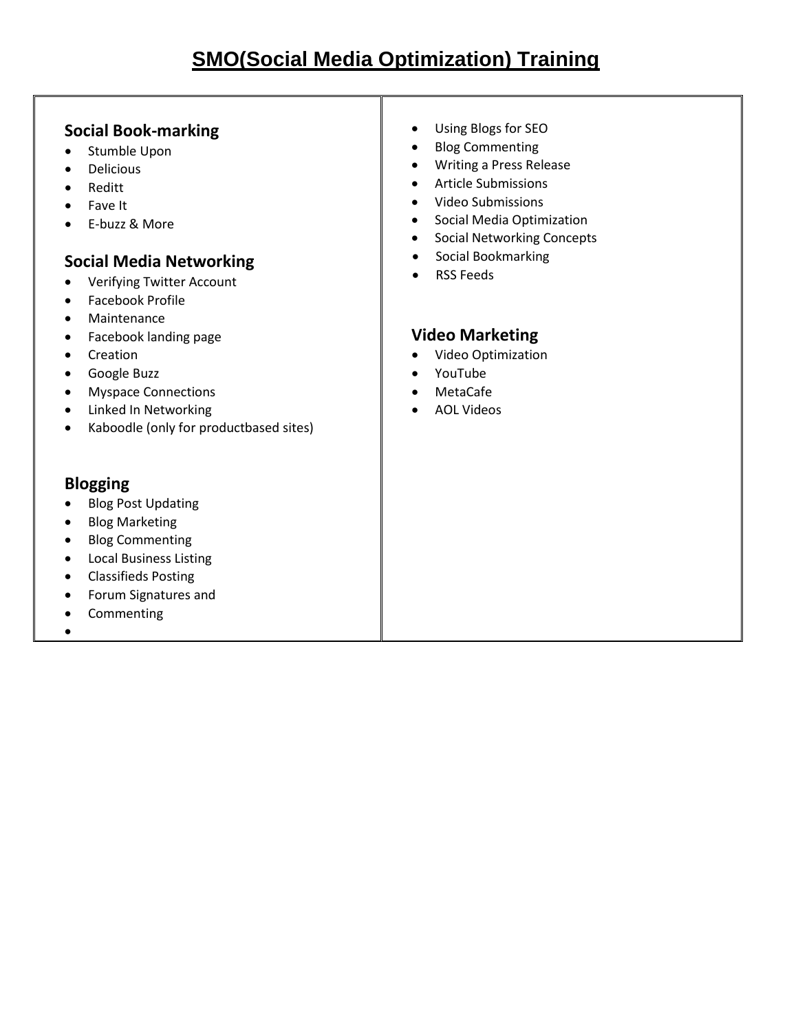#### **Social Book-marking**

- Stumble Upon
- Delicious
- Reditt
- Fave It
- E-buzz & More

### **Social Media Networking**

- Verifying Twitter Account
- Facebook Profile
- Maintenance
- Facebook landing page
- Creation
- **•** Google Buzz
- Myspace Connections
- Linked In Networking
- Kaboodle (only for productbased sites)

### **Blogging**

- Blog Post Updating
- Blog Marketing
- Blog Commenting
- Local Business Listing
- Classifieds Posting
- Forum Signatures and
- Commenting
- $\bullet$
- Using Blogs for SEO
- Blog Commenting
- Writing a Press Release
- Article Submissions
- Video Submissions
- **•** Social Media Optimization
- **•** Social Networking Concepts
- **•** Social Bookmarking
- RSS Feeds

### **Video Marketing**

- Video Optimization
- YouTube
- MetaCafe
- AOL Videos